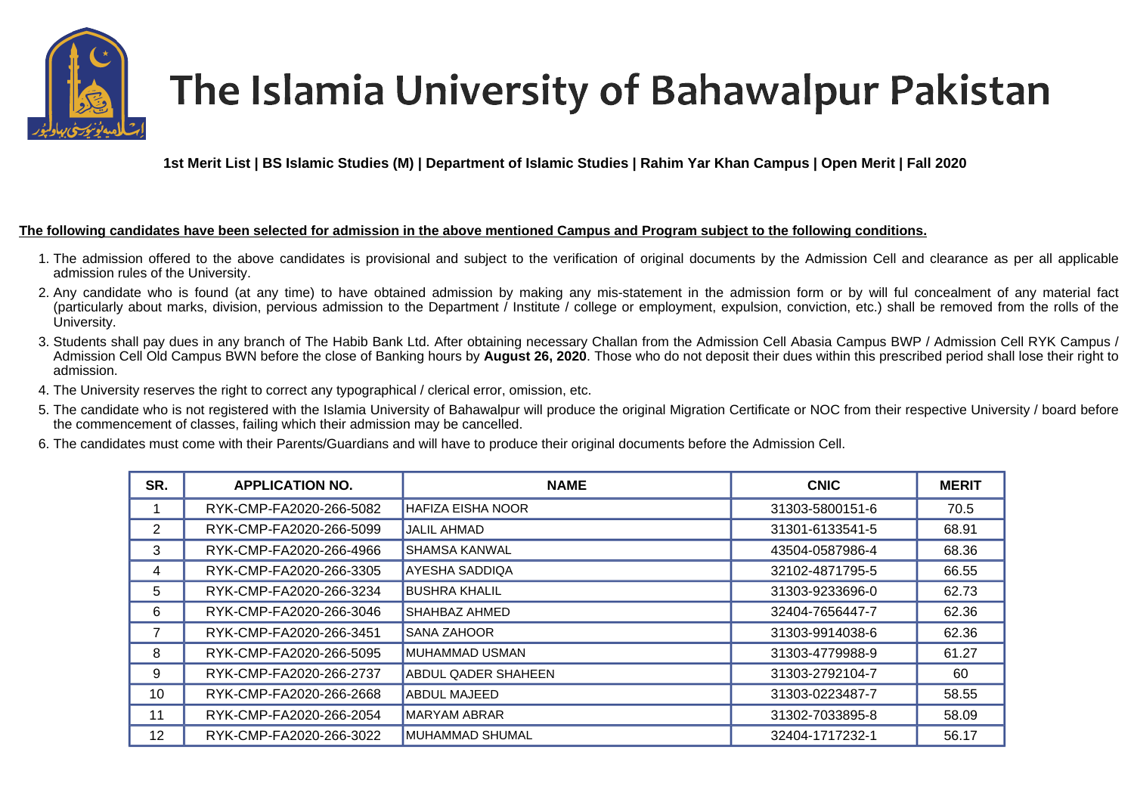

## The Islamia University of Bahawalpur Pakistan

**1st Merit List | BS Islamic Studies (M) | Department of Islamic Studies | Rahim Yar Khan Campus | Open Merit | Fall 2020** 

## **The following candidates have been selected for admission in the above mentioned Campus and Program subject to the following conditions.**

- 1. The admission offered to the above candidates is provisional and subject to the verification of original documents by the Admission Cell and clearance as per all applicable admission rules of the University.
- 2. Any candidate who is found (at any time) to have obtained admission by making any mis-statement in the admission form or by will ful concealment of any material fact (particularly about marks, division, pervious admission to the Department / Institute / college or employment, expulsion, conviction, etc.) shall be removed from the rolls of the University.
- 3. Students shall pay dues in any branch of The Habib Bank Ltd. After obtaining necessary Challan from the Admission Cell Abasia Campus BWP / Admission Cell RYK Campus / Admission Cell Old Campus BWN before the close of Banking hours by **August 26, 2020**. Those who do not deposit their dues within this prescribed period shall lose their right to admission.
- 4. The University reserves the right to correct any typographical / clerical error, omission, etc.
- 5. The candidate who is not registered with the Islamia University of Bahawalpur will produce the original Migration Certificate or NOC from their respective University / board before the commencement of classes, failing which their admission may be cancelled.
- 6. The candidates must come with their Parents/Guardians and will have to produce their original documents before the Admission Cell.

| SR. | <b>APPLICATION NO.</b>  | <b>NAME</b>                | <b>CNIC</b>     | <b>MERIT</b> |
|-----|-------------------------|----------------------------|-----------------|--------------|
|     | RYK-CMP-FA2020-266-5082 | <b>HAFIZA EISHA NOOR</b>   | 31303-5800151-6 | 70.5         |
| 2   | RYK-CMP-FA2020-266-5099 | <b>JALIL AHMAD</b>         | 31301-6133541-5 | 68.91        |
| 3   | RYK-CMP-FA2020-266-4966 | <b>SHAMSA KANWAL</b>       | 43504-0587986-4 | 68.36        |
| 4   | RYK-CMP-FA2020-266-3305 | <b>AYESHA SADDIQA</b>      | 32102-4871795-5 | 66.55        |
| 5   | RYK-CMP-FA2020-266-3234 | <b>BUSHRA KHALIL</b>       | 31303-9233696-0 | 62.73        |
| 6   | RYK-CMP-FA2020-266-3046 | <b>SHAHBAZ AHMED</b>       | 32404-7656447-7 | 62.36        |
|     | RYK-CMP-FA2020-266-3451 | ISANA ZAHOOR               | 31303-9914038-6 | 62.36        |
| 8   | RYK-CMP-FA2020-266-5095 | <b>MUHAMMAD USMAN</b>      | 31303-4779988-9 | 61.27        |
| 9   | RYK-CMP-FA2020-266-2737 | <b>ABDUL QADER SHAHEEN</b> | 31303-2792104-7 | 60           |
| 10  | RYK-CMP-FA2020-266-2668 | ABDUL MAJEED               | 31303-0223487-7 | 58.55        |
| 11  | RYK-CMP-FA2020-266-2054 | <b>MARYAM ABRAR</b>        | 31302-7033895-8 | 58.09        |
| 12  | RYK-CMP-FA2020-266-3022 | MUHAMMAD SHUMAL            | 32404-1717232-1 | 56.17        |